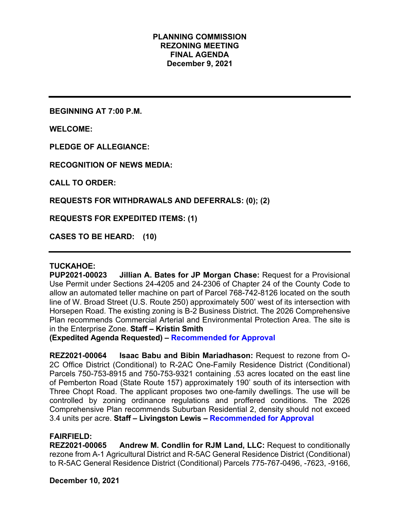## **PLANNING COMMISSION REZONING MEETING FINAL AGENDA December 9, 2021**

**BEGINNING AT 7:00 P.M.**

**WELCOME:**

**PLEDGE OF ALLEGIANCE:**

**RECOGNITION OF NEWS MEDIA:**

**CALL TO ORDER:**

**REQUESTS FOR WITHDRAWALS AND DEFERRALS: (0); (2)**

**REQUESTS FOR EXPEDITED ITEMS: (1)**

**CASES TO BE HEARD: (10)**

### **TUCKAHOE:**

**PUP2021-00023 Jillian A. Bates for JP Morgan Chase:** Request for a Provisional Use Permit under Sections 24-4205 and 24-2306 of Chapter 24 of the County Code to allow an automated teller machine on part of Parcel 768-742-8126 located on the south line of W. Broad Street (U.S. Route 250) approximately 500' west of its intersection with Horsepen Road. The existing zoning is B-2 Business District. The 2026 Comprehensive Plan recommends Commercial Arterial and Environmental Protection Area. The site is in the Enterprise Zone. **Staff – Kristin Smith** 

**(Expedited Agenda Requested) – Recommended for Approval**

**REZ2021-00064 Isaac Babu and Bibin Mariadhason:** Request to rezone from O-2C Office District (Conditional) to R-2AC One-Family Residence District (Conditional) Parcels 750-753-8915 and 750-753-9321 containing .53 acres located on the east line of Pemberton Road (State Route 157) approximately 190' south of its intersection with Three Chopt Road. The applicant proposes two one-family dwellings. The use will be controlled by zoning ordinance regulations and proffered conditions. The 2026 Comprehensive Plan recommends Suburban Residential 2, density should not exceed 3.4 units per acre. **Staff – Livingston Lewis – Recommended for Approval**

## **FAIRFIELD:**

**REZ2021-00065 Andrew M. Condlin for RJM Land, LLC:** Request to conditionally rezone from A-1 Agricultural District and R-5AC General Residence District (Conditional) to R-5AC General Residence District (Conditional) Parcels 775-767-0496, -7623, -9166,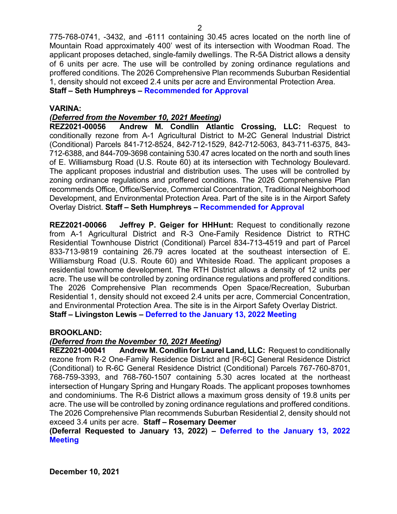775-768-0741, -3432, and -6111 containing 30.45 acres located on the north line of Mountain Road approximately 400' west of its intersection with Woodman Road. The applicant proposes detached, single-family dwellings. The R-5A District allows a density of 6 units per acre. The use will be controlled by zoning ordinance regulations and proffered conditions. The 2026 Comprehensive Plan recommends Suburban Residential 1, density should not exceed 2.4 units per acre and Environmental Protection Area.

**Staff – Seth Humphreys – Recommended for Approval**

## **VARINA:**

## *(Deferred from the November 10, 2021 Meeting)*

**REZ2021-00056 Andrew M. Condlin Atlantic Crossing, LLC:** Request to conditionally rezone from A-1 Agricultural District to M-2C General Industrial District (Conditional) Parcels 841-712-8524, 842-712-1529, 842-712-5063, 843-711-6375, 843- 712-6388, and 844-709-3698 containing 530.47 acres located on the north and south lines of E. Williamsburg Road (U.S. Route 60) at its intersection with Technology Boulevard. The applicant proposes industrial and distribution uses. The uses will be controlled by zoning ordinance regulations and proffered conditions. The 2026 Comprehensive Plan recommends Office, Office/Service, Commercial Concentration, Traditional Neighborhood Development, and Environmental Protection Area. Part of the site is in the Airport Safety Overlay District. **Staff – Seth Humphreys – Recommended for Approval**

**REZ2021-00066 Jeffrey P. Geiger for HHHunt:** Request to conditionally rezone from A-1 Agricultural District and R-3 One-Family Residence District to RTHC Residential Townhouse District (Conditional) Parcel 834-713-4519 and part of Parcel 833-713-9819 containing 26.79 acres located at the southeast intersection of E. Williamsburg Road (U.S. Route 60) and Whiteside Road. The applicant proposes a residential townhome development. The RTH District allows a density of 12 units per acre. The use will be controlled by zoning ordinance regulations and proffered conditions. The 2026 Comprehensive Plan recommends Open Space/Recreation, Suburban Residential 1, density should not exceed 2.4 units per acre, Commercial Concentration, and Environmental Protection Area. The site is in the Airport Safety Overlay District. **Staff – Livingston Lewis – Deferred to the January 13, 2022 Meeting**

### **BROOKLAND:**

### *(Deferred from the November 10, 2021 Meeting)*

**REZ2021-00041 Andrew M. Condlin for Laurel Land, LLC:** Request to conditionally rezone from R-2 One-Family Residence District and [R-6C] General Residence District (Conditional) to R-6C General Residence District (Conditional) Parcels 767-760-8701, 768-759-3393, and 768-760-1507 containing 5.30 acres located at the northeast intersection of Hungary Spring and Hungary Roads. The applicant proposes townhomes and condominiums. The R-6 District allows a maximum gross density of 19.8 units per acre. The use will be controlled by zoning ordinance regulations and proffered conditions. The 2026 Comprehensive Plan recommends Suburban Residential 2, density should not exceed 3.4 units per acre. **Staff – Rosemary Deemer** 

**(Deferral Requested to January 13, 2022) – Deferred to the January 13, 2022 Meeting**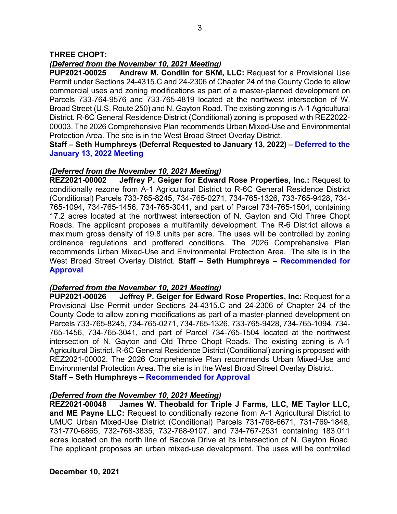# *(Deferred from the November 10, 2021 Meeting)*

**PUP2021-00025 Andrew M. Condlin for SKM, LLC:** Request for a Provisional Use Permit under Sections 24-4315.C and 24-2306 of Chapter 24 of the County Code to allow commercial uses and zoning modifications as part of a master-planned development on Parcels 733-764-9576 and 733-765-4819 located at the northwest intersection of W. Broad Street (U.S. Route 250) and N. Gayton Road. The existing zoning is A-1 Agricultural District. R-6C General Residence District (Conditional) zoning is proposed with REZ2022- 00003. The 2026 Comprehensive Plan recommends Urban Mixed-Use and Environmental Protection Area. The site is in the West Broad Street Overlay District.

**Staff – Seth Humphreys (Deferral Requested to January 13, 2022) – Deferred to the January 13, 2022 Meeting**

## *(Deferred from the November 10, 2021 Meeting)*

**REZ2021-00002 Jeffrey P. Geiger for Edward Rose Properties, Inc.:** Request to conditionally rezone from A-1 Agricultural District to R-6C General Residence District (Conditional) Parcels 733-765-8245, 734-765-0271, 734-765-1326, 733-765-9428, 734- 765-1094, 734-765-1456, 734-765-3041, and part of Parcel 734-765-1504, containing 17.2 acres located at the northwest intersection of N. Gayton and Old Three Chopt Roads. The applicant proposes a multifamily development. The R-6 District allows a maximum gross density of 19.8 units per acre. The uses will be controlled by zoning ordinance regulations and proffered conditions. The 2026 Comprehensive Plan recommends Urban Mixed-Use and Environmental Protection Area. The site is in the West Broad Street Overlay District. **Staff – Seth Humphreys – Recommended for Approval**

## *(Deferred from the November 10, 2021 Meeting)*

**PUP2021-00026 Jeffrey P. Geiger for Edward Rose Properties, Inc:** Request for a Provisional Use Permit under Sections 24-4315.C and 24-2306 of Chapter 24 of the County Code to allow zoning modifications as part of a master-planned development on Parcels 733-765-8245, 734-765-0271, 734-765-1326, 733-765-9428, 734-765-1094, 734- 765-1456, 734-765-3041, and part of Parcel 734-765-1504 located at the northwest intersection of N. Gayton and Old Three Chopt Roads. The existing zoning is A-1 Agricultural District. R-6C General Residence District (Conditional) zoning is proposed with REZ2021-00002. The 2026 Comprehensive Plan recommends Urban Mixed-Use and Environmental Protection Area. The site is in the West Broad Street Overlay District. **Staff – Seth Humphreys – Recommended for Approval**

### *(Deferred from the November 10, 2021 Meeting)*

**REZ2021-00048 James W. Theobald for Triple J Farms, LLC, ME Taylor LLC, and ME Payne LLC:** Request to conditionally rezone from A-1 Agricultural District to UMUC Urban Mixed-Use District (Conditional) Parcels 731-768-6671, 731-769-1848, 731-770-6865, 732-768-3835, 732-768-9107, and 734-767-2531 containing 183.011 acres located on the north line of Bacova Drive at its intersection of N. Gayton Road. The applicant proposes an urban mixed-use development. The uses will be controlled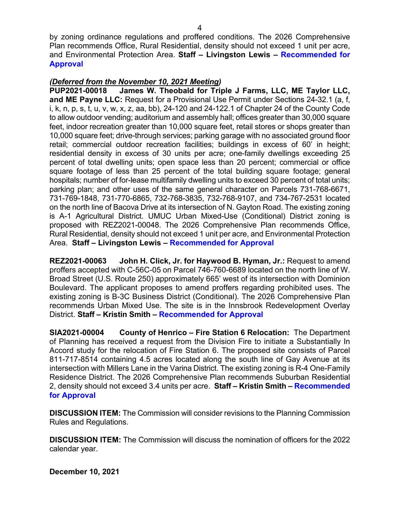by zoning ordinance regulations and proffered conditions. The 2026 Comprehensive Plan recommends Office, Rural Residential, density should not exceed 1 unit per acre, and Environmental Protection Area. **Staff – Livingston Lewis – Recommended for Approval**

# *(Deferred from the November 10, 2021 Meeting)*

**PUP2021-00018 James W. Theobald for Triple J Farms, LLC, ME Taylor LLC, and ME Payne LLC:** Request for a Provisional Use Permit under Sections 24-32.1 (a, f, i, k, n, p, s, t, u, v, w, x, z, aa, bb), 24-120 and 24-122.1 of Chapter 24 of the County Code to allow outdoor vending; auditorium and assembly hall; offices greater than 30,000 square feet, indoor recreation greater than 10,000 square feet, retail stores or shops greater than 10,000 square feet; drive-through services; parking garage with no associated ground floor retail; commercial outdoor recreation facilities; buildings in excess of 60' in height; residential density in excess of 30 units per acre; one-family dwellings exceeding 25 percent of total dwelling units; open space less than 20 percent; commercial or office square footage of less than 25 percent of the total building square footage; general hospitals; number of for-lease multifamily dwelling units to exceed 30 percent of total units; parking plan; and other uses of the same general character on Parcels 731-768-6671, 731-769-1848, 731-770-6865, 732-768-3835, 732-768-9107, and 734-767-2531 located on the north line of Bacova Drive at its intersection of N. Gayton Road. The existing zoning is A-1 Agricultural District. UMUC Urban Mixed-Use (Conditional) District zoning is proposed with REZ2021-00048. The 2026 Comprehensive Plan recommends Office, Rural Residential, density should not exceed 1 unit per acre, and Environmental Protection Area. **Staff – Livingston Lewis – Recommended for Approval**

**REZ2021-00063 John H. Click, Jr. for Haywood B. Hyman, Jr.:** Request to amend proffers accepted with C-56C-05 on Parcel 746-760-6689 located on the north line of W. Broad Street (U.S. Route 250) approximately 665' west of its intersection with Dominion Boulevard. The applicant proposes to amend proffers regarding prohibited uses. The existing zoning is B-3C Business District (Conditional). The 2026 Comprehensive Plan recommends Urban Mixed Use. The site is in the Innsbrook Redevelopment Overlay District. **Staff – Kristin Smith – Recommended for Approval**

**SIA2021-00004 County of Henrico – Fire Station 6 Relocation:** The Department of Planning has received a request from the Division Fire to initiate a Substantially In Accord study for the relocation of Fire Station 6. The proposed site consists of Parcel 811-717-8514 containing 4.5 acres located along the south line of Gay Avenue at its intersection with Millers Lane in the Varina District. The existing zoning is R-4 One-Family Residence District. The 2026 Comprehensive Plan recommends Suburban Residential 2, density should not exceed 3.4 units per acre. **Staff – Kristin Smith – Recommended for Approval**

**DISCUSSION ITEM:** The Commission will consider revisions to the Planning Commission Rules and Regulations.

**DISCUSSION ITEM:** The Commission will discuss the nomination of officers for the 2022 calendar year.